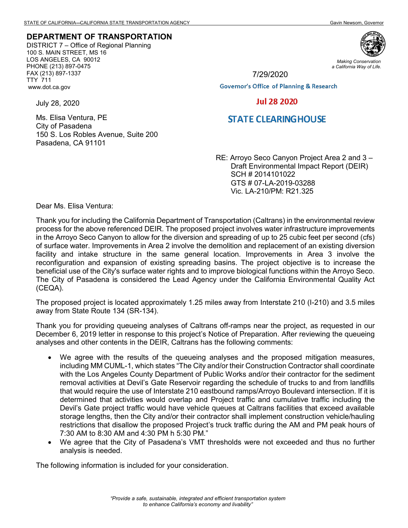## **DEPARTMENT OF TRANSPORTATION**

DISTRICT 7 – Office of Regional Planning 100 S. MAIN STREET, MS 16 LOS ANGELES, CA 90012 PHONE (213) 897-0475 FAX (213) 897-1337 TTY 711 www.dot.ca.gov

150 S. Los Robles Avenue, Suite 200



*Making Conservation a California Way of Life.*

7/29/2020

**Governor's Office of Planning & Research** 

## **Jul 28 2020**

## **STATE CLEARINGHOUSE**

RE: Arroyo Seco Canyon Project Area 2 and 3 – Draft Environmental Impact Report (DEIR) SCH # 2014101022 GTS # 07-LA-2019-03288 Vic. LA-210/PM: R21.325

Dear Ms. Elisa Ventura:

July 28, 2020

Ms. Elisa Ventura, PE City of Pasadena

Pasadena, CA 91101

Thank you for including the California Department of Transportation (Caltrans) in the environmental review process for the above referenced DEIR. The proposed project involves water infrastructure improvements in the Arroyo Seco Canyon to allow for the diversion and spreading of up to 25 cubic feet per second (cfs) of surface water. Improvements in Area 2 involve the demolition and replacement of an existing diversion facility and intake structure in the same general location. Improvements in Area 3 involve the reconfiguration and expansion of existing spreading basins. The project objective is to increase the beneficial use of the City's surface water rights and to improve biological functions within the Arroyo Seco. The City of Pasadena is considered the Lead Agency under the California Environmental Quality Act (CEQA).

The proposed project is located approximately 1.25 miles away from Interstate 210 (I-210) and 3.5 miles away from State Route 134 (SR-134).

Thank you for providing queueing analyses of Caltrans off-ramps near the project, as requested in our December 6, 2019 letter in response to this project's Notice of Preparation. After reviewing the queueing analyses and other contents in the DEIR, Caltrans has the following comments:

- We agree with the results of the queueing analyses and the proposed mitigation measures, including MM CUML-1, which states "The City and/or their Construction Contractor shall coordinate with the Los Angeles County Department of Public Works and/or their contractor for the sediment removal activities at Devil's Gate Reservoir regarding the schedule of trucks to and from landfills that would require the use of Interstate 210 eastbound ramps/Arroyo Boulevard intersection. If it is determined that activities would overlap and Project traffic and cumulative traffic including the Devil's Gate project traffic would have vehicle queues at Caltrans facilities that exceed available storage lengths, then the City and/or their contractor shall implement construction vehicle/hauling restrictions that disallow the proposed Project's truck traffic during the AM and PM peak hours of 7:30 AM to 8:30 AM and 4:30 PM h 5:30 PM."
- We agree that the City of Pasadena's VMT thresholds were not exceeded and thus no further analysis is needed.

The following information is included for your consideration.